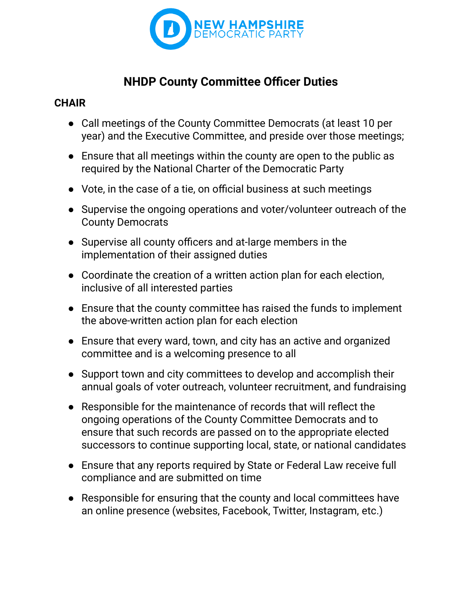

# **NHDP County Committee Officer Duties**

### **CHAIR**

- Call meetings of the County Committee Democrats (at least 10 per year) and the Executive Committee, and preside over those meetings;
- Ensure that all meetings within the county are open to the public as required by the National Charter of the Democratic Party
- Vote, in the case of a tie, on official business at such meetings
- Supervise the ongoing operations and voter/volunteer outreach of the County Democrats
- Supervise all county officers and at-large members in the implementation of their assigned duties
- Coordinate the creation of a written action plan for each election, inclusive of all interested parties
- Ensure that the county committee has raised the funds to implement the above-written action plan for each election
- Ensure that every ward, town, and city has an active and organized committee and is a welcoming presence to all
- Support town and city committees to develop and accomplish their annual goals of voter outreach, volunteer recruitment, and fundraising
- Responsible for the maintenance of records that will reflect the ongoing operations of the County Committee Democrats and to ensure that such records are passed on to the appropriate elected successors to continue supporting local, state, or national candidates
- Ensure that any reports required by State or Federal Law receive full compliance and are submitted on time
- Responsible for ensuring that the county and local committees have an online presence (websites, Facebook, Twitter, Instagram, etc.)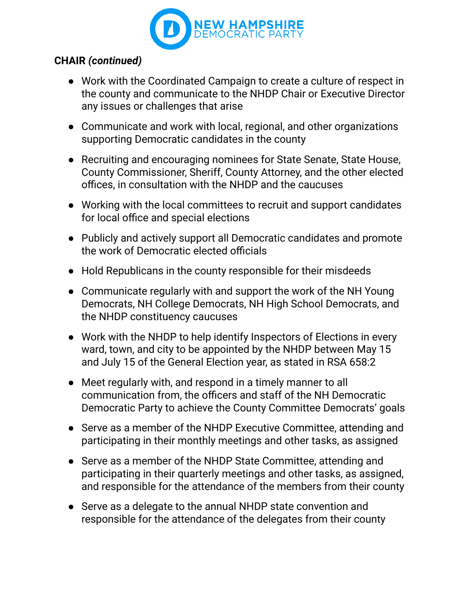

### **CHAIR** *(continued)*

- Work with the Coordinated Campaign to create a culture of respect in the county and communicate to the NHDP Chair or Executive Director any issues or challenges that arise
- Communicate and work with local, regional, and other organizations supporting Democratic candidates in the county
- Recruiting and encouraging nominees for State Senate, State House, County Commissioner, Sheriff, County Attorney, and the other elected offices, in consultation with the NHDP and the caucuses
- Working with the local committees to recruit and support candidates for local office and special elections
- Publicly and actively support all Democratic candidates and promote the work of Democratic elected officials
- Hold Republicans in the county responsible for their misdeeds
- Communicate regularly with and support the work of the NH Young Democrats, NH College Democrats, NH High School Democrats, and the NHDP constituency caucuses
- Work with the NHDP to help identify Inspectors of Elections in every ward, town, and city to be appointed by the NHDP between May 15 and July 15 of the General Election year, as stated in RSA 658:2
- Meet regularly with, and respond in a timely manner to all communication from, the officers and staff of the NH Democratic Democratic Party to achieve the County Committee Democrats' goals
- Serve as a member of the NHDP Executive Committee, attending and participating in their monthly meetings and other tasks, as assigned
- Serve as a member of the NHDP State Committee, attending and participating in their quarterly meetings and other tasks, as assigned, and responsible for the attendance of the members from their county
- Serve as a delegate to the annual NHDP state convention and responsible for the attendance of the delegates from their county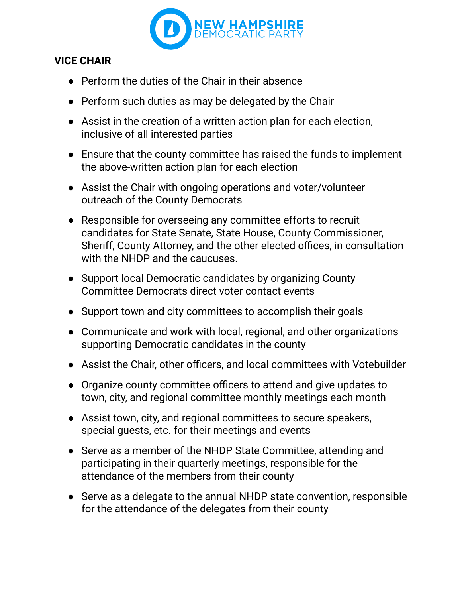

#### **VICE CHAIR**

- Perform the duties of the Chair in their absence
- Perform such duties as may be delegated by the Chair
- Assist in the creation of a written action plan for each election, inclusive of all interested parties
- Ensure that the county committee has raised the funds to implement the above-written action plan for each election
- Assist the Chair with ongoing operations and voter/volunteer outreach of the County Democrats
- Responsible for overseeing any committee efforts to recruit candidates for State Senate, State House, County Commissioner, Sheriff, County Attorney, and the other elected offices, in consultation with the NHDP and the caucuses.
- Support local Democratic candidates by organizing County Committee Democrats direct voter contact events
- Support town and city committees to accomplish their goals
- Communicate and work with local, regional, and other organizations supporting Democratic candidates in the county
- Assist the Chair, other officers, and local committees with Votebuilder
- Organize county committee officers to attend and give updates to town, city, and regional committee monthly meetings each month
- Assist town, city, and regional committees to secure speakers, special guests, etc. for their meetings and events
- Serve as a member of the NHDP State Committee, attending and participating in their quarterly meetings, responsible for the attendance of the members from their county
- Serve as a delegate to the annual NHDP state convention, responsible for the attendance of the delegates from their county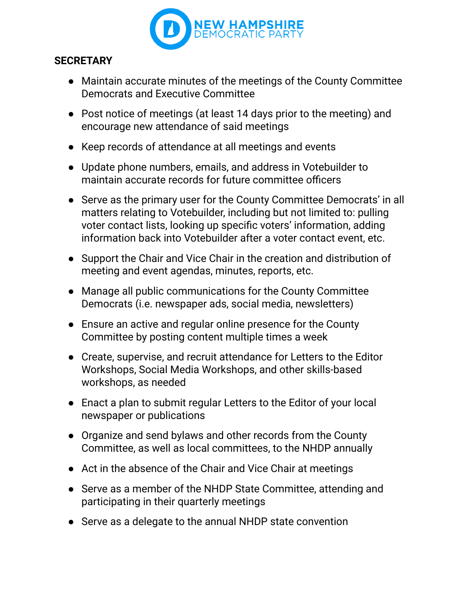

#### **SECRETARY**

- Maintain accurate minutes of the meetings of the County Committee Democrats and Executive Committee
- Post notice of meetings (at least 14 days prior to the meeting) and encourage new attendance of said meetings
- Keep records of attendance at all meetings and events
- Update phone numbers, emails, and address in Votebuilder to maintain accurate records for future committee officers
- Serve as the primary user for the County Committee Democrats' in all matters relating to Votebuilder, including but not limited to: pulling voter contact lists, looking up specific voters' information, adding information back into Votebuilder after a voter contact event, etc.
- Support the Chair and Vice Chair in the creation and distribution of meeting and event agendas, minutes, reports, etc.
- Manage all public communications for the County Committee Democrats (i.e. newspaper ads, social media, newsletters)
- Ensure an active and regular online presence for the County Committee by posting content multiple times a week
- Create, supervise, and recruit attendance for Letters to the Editor Workshops, Social Media Workshops, and other skills-based workshops, as needed
- Enact a plan to submit regular Letters to the Editor of your local newspaper or publications
- Organize and send bylaws and other records from the County Committee, as well as local committees, to the NHDP annually
- Act in the absence of the Chair and Vice Chair at meetings
- Serve as a member of the NHDP State Committee, attending and participating in their quarterly meetings
- Serve as a delegate to the annual NHDP state convention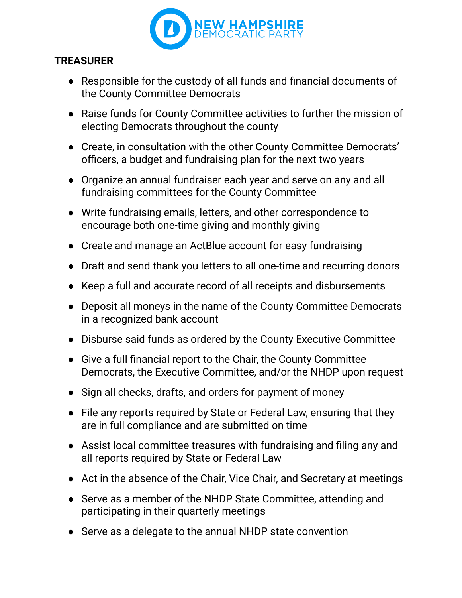

## **TREASURER**

- Responsible for the custody of all funds and financial documents of the County Committee Democrats
- Raise funds for County Committee activities to further the mission of electing Democrats throughout the county
- Create, in consultation with the other County Committee Democrats' officers, a budget and fundraising plan for the next two years
- Organize an annual fundraiser each year and serve on any and all fundraising committees for the County Committee
- Write fundraising emails, letters, and other correspondence to encourage both one-time giving and monthly giving
- Create and manage an ActBlue account for easy fundraising
- Draft and send thank you letters to all one-time and recurring donors
- Keep a full and accurate record of all receipts and disbursements
- Deposit all moneys in the name of the County Committee Democrats in a recognized bank account
- Disburse said funds as ordered by the County Executive Committee
- Give a full financial report to the Chair, the County Committee Democrats, the Executive Committee, and/or the NHDP upon request
- Sign all checks, drafts, and orders for payment of money
- File any reports required by State or Federal Law, ensuring that they are in full compliance and are submitted on time
- Assist local committee treasures with fundraising and filing any and all reports required by State or Federal Law
- Act in the absence of the Chair, Vice Chair, and Secretary at meetings
- Serve as a member of the NHDP State Committee, attending and participating in their quarterly meetings
- Serve as a delegate to the annual NHDP state convention